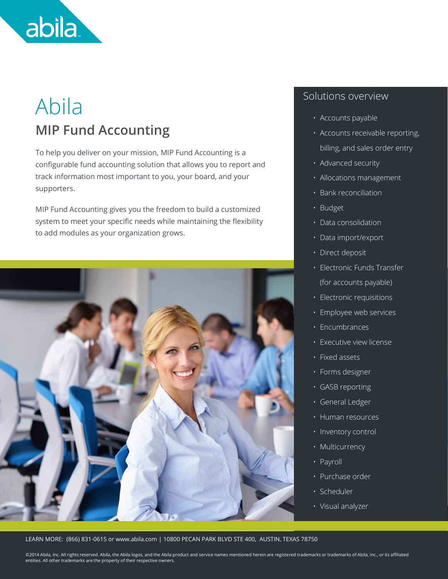

## Abila **MIP Fund Accounting**

To help you deliver on your mission, MIP Fund Accounting is a configurable fund accounting solution that allows you to report and track information most important to you, your board, and your supporters.

MIP Fund Accounting gives you the freedom to build a customized system to meet your specific needs while maintaining the flexibility to add modules as your organization grows.



#### Solutions overview

- Accounts payable
- Accounts receivable reporting, billing, and sales order entry
- Advanced security
- Allocations management
- Bank reconciliation
- Budget
- Data consolidation
- Data import/export
- Direct deposit
- Electronic Funds Transfer (for accounts payable)
- Electronic requisitions
- Employee web services
- Encumbrances
- Executive view license
- Fixed assets
- Forms designer
- GASB reporting
- General Ledger
- Human resources
- Inventory control
- Multicurrency
- Payroll
- Purchase order
- Scheduler
- Visual analyzer

LEARN MORE: (866) 831-0615 or www.abila.com | 10800 PECAN PARK BLVD STE 400, AUSTIN, TEXAS 78750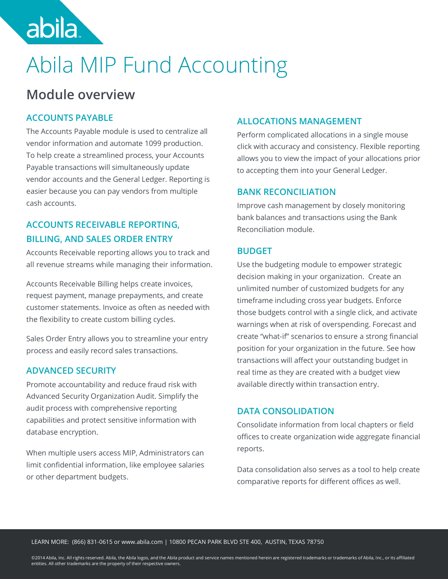

# Abila MIP Fund Accounting

### **Module overview**

#### **ACCOUNTS PAYABLE**

The Accounts Payable module is used to centralize all vendor information and automate 1099 production. To help create a streamlined process, your Accounts Payable transactions will simultaneously update vendor accounts and the General Ledger. Reporting is easier because you can pay vendors from multiple cash accounts.

#### **ACCOUNTS RECEIVABLE REPORTING, BILLING, AND SALES ORDER ENTRY**

Accounts Receivable reporting allows you to track and all revenue streams while managing their information.

Accounts Receivable Billing helps create invoices, request payment, manage prepayments, and create customer statements. Invoice as often as needed with the flexibility to create custom billing cycles.

Sales Order Entry allows you to streamline your entry process and easily record sales transactions.

#### **ADVANCED SECURITY**

Promote accountability and reduce fraud risk with Advanced Security Organization Audit. Simplify the audit process with comprehensive reporting capabilities and protect sensitive information with database encryption.

When multiple users access MIP, Administrators can limit confidential information, like employee salaries or other department budgets.

#### **ALLOCATIONS MANAGEMENT**

Perform complicated allocations in a single mouse click with accuracy and consistency. Flexible reporting allows you to view the impact of your allocations prior to accepting them into your General Ledger.

#### **BANK RECONCILIATION**

Improve cash management by closely monitoring bank balances and transactions using the Bank Reconciliation module.

#### **BUDGET**

Use the budgeting module to empower strategic decision making in your organization. Create an unlimited number of customized budgets for any timeframe including cross year budgets. Enforce those budgets control with a single click, and activate warnings when at risk of overspending. Forecast and create "what-if" scenarios to ensure a strong financial position for your organization in the future. See how transactions will affect your outstanding budget in real time as they are created with a budget view available directly within transaction entry.

#### **DATA CONSOLIDATION**

Consolidate information from local chapters or field offices to create organization wide aggregate financial reports.

Data consolidation also serves as a tool to help create comparative reports for different offices as well.

#### LEARN MORE: (866) 831-0615 or www.abila.com | 10800 PECAN PARK BLVD STE 400, AUSTIN, TEXAS 78750 MORE: (866) 831-0615 or www.abila.com | 10800 PECAN PARK BLVD STE 400, AUSTIN, TEXAS 78750

LEARN MORE: (866) 831-0615 or www.abila.com | 10800 PECAN PARK BLVD STE 400, AUSTIN, TEXAS 78750<br>©2014 Abila, Inc. All rights reserved. Abila, the Abila logos, and the Abila product and service names mentioned herein are r entities. All other trademarks are the property of their respective owners.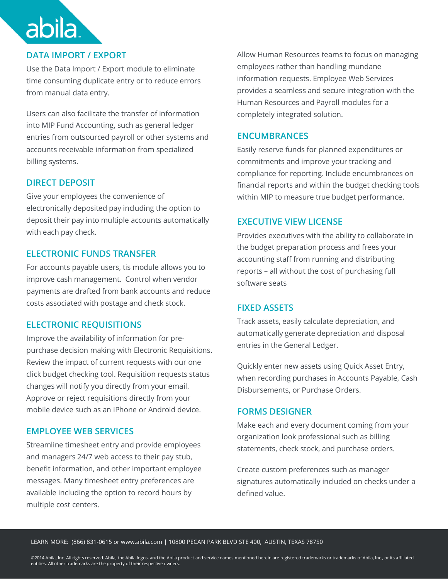#### **DATA IMPORT / EXPORT**

abila

Use the Data Import / Export module to eliminate time consuming duplicate entry or to reduce errors from manual data entry.

Users can also facilitate the transfer of information into MIP Fund Accounting, such as general ledger entries from outsourced payroll or other systems and accounts receivable information from specialized billing systems.

#### **DIRECT DEPOSIT**

Give your employees the convenience of electronically deposited pay including the option to deposit their pay into multiple accounts automatically with each pay check.

#### **ELECTRONIC FUNDS TRANSFER**

For accounts payable users, tis module allows you to improve cash management. Control when vendor payments are drafted from bank accounts and reduce costs associated with postage and check stock.

#### **ELECTRONIC REQUISITIONS**

Improve the availability of information for prepurchase decision making with Electronic Requisitions. Review the impact of current requests with our one click budget checking tool. Requisition requests status changes will notify you directly from your email. Approve or reject requisitions directly from your mobile device such as an iPhone or Android device.

#### **EMPLOYEE WEB SERVICES**

Streamline timesheet entry and provide employees and managers 24/7 web access to their pay stub, benefit information, and other important employee messages. Many timesheet entry preferences are available including the option to record hours by multiple cost centers.

Allow Human Resources teams to focus on managing employees rather than handling mundane information requests. Employee Web Services provides a seamless and secure integration with the Human Resources and Payroll modules for a completely integrated solution.

#### **ENCUMBRANCES**

Easily reserve funds for planned expenditures or commitments and improve your tracking and compliance for reporting. Include encumbrances on financial reports and within the budget checking tools within MIP to measure true budget performance.

#### **EXECUTIVE VIEW LICENSE**

Provides executives with the ability to collaborate in the budget preparation process and frees your accounting staff from running and distributing reports – all without the cost of purchasing full software seats

#### **FIXED ASSETS**

Track assets, easily calculate depreciation, and automatically generate depreciation and disposal entries in the General Ledger.

Quickly enter new assets using Quick Asset Entry, when recording purchases in Accounts Payable, Cash Disbursements, or Purchase Orders.

#### **FORMS DESIGNER**

Make each and every document coming from your organization look professional such as billing statements, check stock, and purchase orders.

Create custom preferences such as manager signatures automatically included on checks under a defined value.

LEARN MORE: (866) 831-0615 or www.abila.com | 10800 PECAN PARK BLVD STE 400, AUSTIN, TEXAS 78750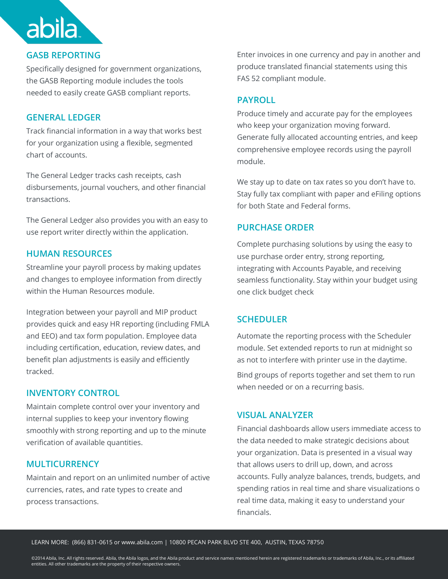#### **GASB REPORTING**

**abila** 

Specifically designed for government organizations, the GASB Reporting module includes the tools needed to easily create GASB compliant reports.

#### **GENERAL LEDGER**

Track financial information in a way that works best for your organization using a flexible, segmented chart of accounts.

The General Ledger tracks cash receipts, cash disbursements, journal vouchers, and other financial transactions.

The General Ledger also provides you with an easy to use report writer directly within the application.

#### **HUMAN RESOURCES**

Streamline your payroll process by making updates and changes to employee information from directly within the Human Resources module.

Integration between your payroll and MIP product provides quick and easy HR reporting (including FMLA and EEO) and tax form population. Employee data including certification, education, review dates, and benefit plan adjustments is easily and efficiently tracked.

#### **INVENTORY CONTROL**

Maintain complete control over your inventory and internal supplies to keep your inventory flowing smoothly with strong reporting and up to the minute verification of available quantities.

#### **MULTICURRENCY**

Maintain and report on an unlimited number of active currencies, rates, and rate types to create and process transactions.

Enter invoices in one currency and pay in another and produce translated financial statements using this FAS 52 compliant module.

#### **PAYROLL**

Produce timely and accurate pay for the employees who keep your organization moving forward. Generate fully allocated accounting entries, and keep comprehensive employee records using the payroll module.

We stay up to date on tax rates so you don't have to. Stay fully tax compliant with paper and eFiling options for both State and Federal forms.

#### **PURCHASE ORDER**

Complete purchasing solutions by using the easy to use purchase order entry, strong reporting, integrating with Accounts Payable, and receiving seamless functionality. Stay within your budget using one click budget check

#### **SCHEDULER**

Automate the reporting process with the Scheduler module. Set extended reports to run at midnight so as not to interfere with printer use in the daytime.

Bind groups of reports together and set them to run when needed or on a recurring basis.

#### **VISUAL ANALYZER**

Financial dashboards allow users immediate access to the data needed to make strategic decisions about your organization. Data is presented in a visual way that allows users to drill up, down, and across accounts. Fully analyze balances, trends, budgets, and spending ratios in real time and share visualizations o real time data, making it easy to understand your financials.

LEARN MORE: (866) 831-0615 or www.abila.com | 10800 PECAN PARK BLVD STE 400, AUSTIN, TEXAS 78750